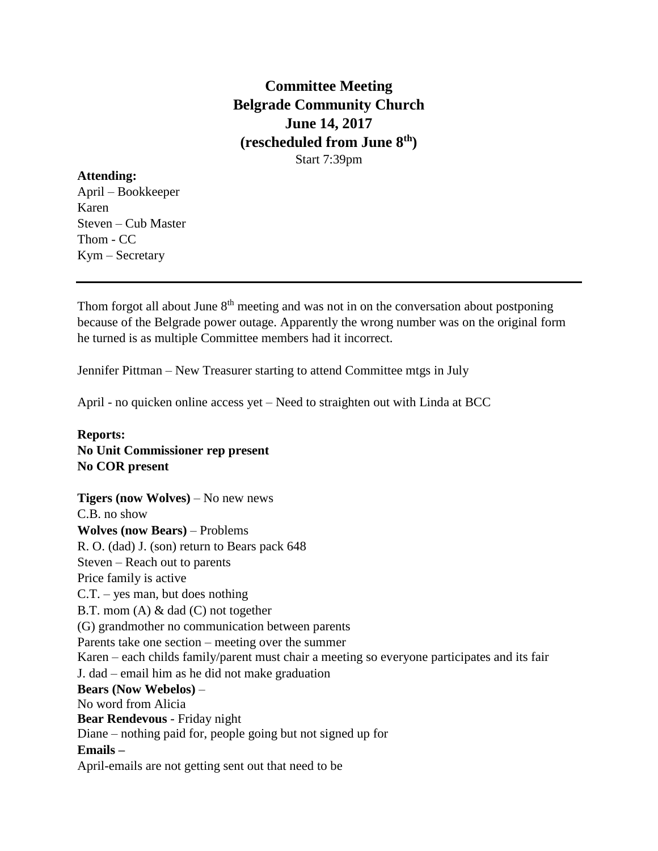**Committee Meeting Belgrade Community Church June 14, 2017 (rescheduled from June 8th)** Start 7:39pm

#### **Attending:**

April – Bookkeeper Karen Steven – Cub Master Thom - CC Kym – Secretary

Thom forgot all about June  $8<sup>th</sup>$  meeting and was not in on the conversation about postponing because of the Belgrade power outage. Apparently the wrong number was on the original form he turned is as multiple Committee members had it incorrect.

Jennifer Pittman – New Treasurer starting to attend Committee mtgs in July

April - no quicken online access yet – Need to straighten out with Linda at BCC

**Reports: No Unit Commissioner rep present No COR present**

**Tigers (now Wolves)** – No new news C.B. no show **Wolves (now Bears)** – Problems R. O. (dad) J. (son) return to Bears pack 648 Steven – Reach out to parents Price family is active C.T. – yes man, but does nothing B.T. mom (A) & dad (C) not together (G) grandmother no communication between parents Parents take one section – meeting over the summer Karen – each childs family/parent must chair a meeting so everyone participates and its fair J. dad – email him as he did not make graduation **Bears (Now Webelos)** – No word from Alicia **Bear Rendevous** - Friday night Diane – nothing paid for, people going but not signed up for **Emails –** April-emails are not getting sent out that need to be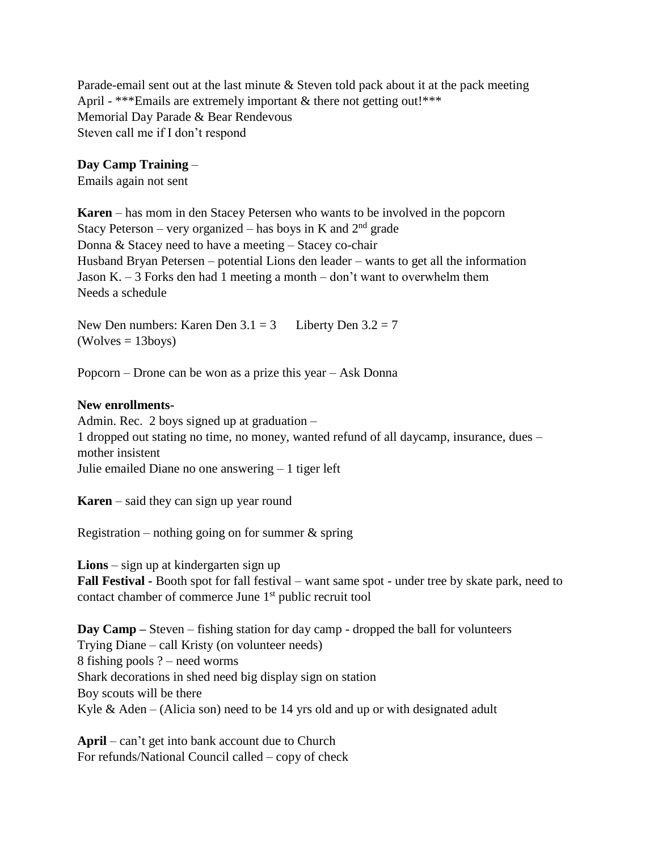Parade-email sent out at the last minute & Steven told pack about it at the pack meeting April - \*\*\*Emails are extremely important & there not getting out!\*\*\* Memorial Day Parade & Bear Rendevous Steven call me if I don't respond

### **Day Camp Training** –

Emails again not sent

**Karen** – has mom in den Stacey Petersen who wants to be involved in the popcorn Stacy Peterson – very organized – has boys in K and  $2<sup>nd</sup>$  grade Donna & Stacey need to have a meeting – Stacey co-chair Husband Bryan Petersen – potential Lions den leader – wants to get all the information Jason K. – 3 Forks den had 1 meeting a month – don't want to overwhelm them Needs a schedule

New Den numbers: Karen Den  $3.1 = 3$  Liberty Den  $3.2 = 7$  $(Wolves = 13 boys)$ 

Popcorn – Drone can be won as a prize this year – Ask Donna

### **New enrollments-**

Admin. Rec. 2 boys signed up at graduation – 1 dropped out stating no time, no money, wanted refund of all daycamp, insurance, dues – mother insistent Julie emailed Diane no one answering – 1 tiger left

**Karen** – said they can sign up year round

Registration – nothing going on for summer  $\&$  spring

**Lions** – sign up at kindergarten sign up **Fall Festival -** Booth spot for fall festival – want same spot - under tree by skate park, need to contact chamber of commerce June 1<sup>st</sup> public recruit tool

**Day Camp –** Steven – fishing station for day camp - dropped the ball for volunteers Trying Diane – call Kristy (on volunteer needs) 8 fishing pools ? – need worms Shark decorations in shed need big display sign on station Boy scouts will be there Kyle  $\&$  Aden – (Alicia son) need to be 14 yrs old and up or with designated adult

**April** – can't get into bank account due to Church For refunds/National Council called – copy of check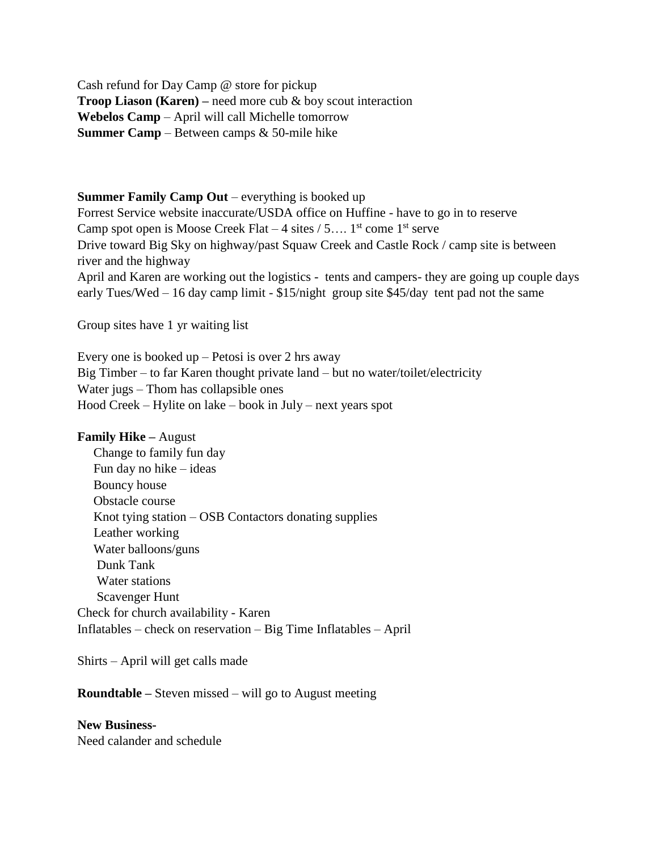Cash refund for Day Camp @ store for pickup **Troop Liason (Karen) –** need more cub & boy scout interaction **Webelos Camp** – April will call Michelle tomorrow **Summer Camp** – Between camps & 50-mile hike

#### **Summer Family Camp Out** – everything is booked up

Forrest Service website inaccurate/USDA office on Huffine - have to go in to reserve Camp spot open is Moose Creek Flat  $-4$  sites  $/5...$  1<sup>st</sup> come 1<sup>st</sup> serve Drive toward Big Sky on highway/past Squaw Creek and Castle Rock / camp site is between river and the highway April and Karen are working out the logistics - tents and campers- they are going up couple days early Tues/Wed – 16 day camp limit - \$15/night group site \$45/day tent pad not the same

Group sites have 1 yr waiting list

Every one is booked up – Petosi is over 2 hrs away Big Timber – to far Karen thought private land – but no water/toilet/electricity Water jugs – Thom has collapsible ones Hood Creek – Hylite on lake – book in July – next years spot

### **Family Hike –** August

 Change to family fun day Fun day no hike – ideas Bouncy house Obstacle course Knot tying station – OSB Contactors donating supplies Leather working Water balloons/guns Dunk Tank Water stations Scavenger Hunt Check for church availability - Karen Inflatables – check on reservation – Big Time Inflatables – April

Shirts – April will get calls made

**Roundtable –** Steven missed – will go to August meeting

**New Business-**Need calander and schedule